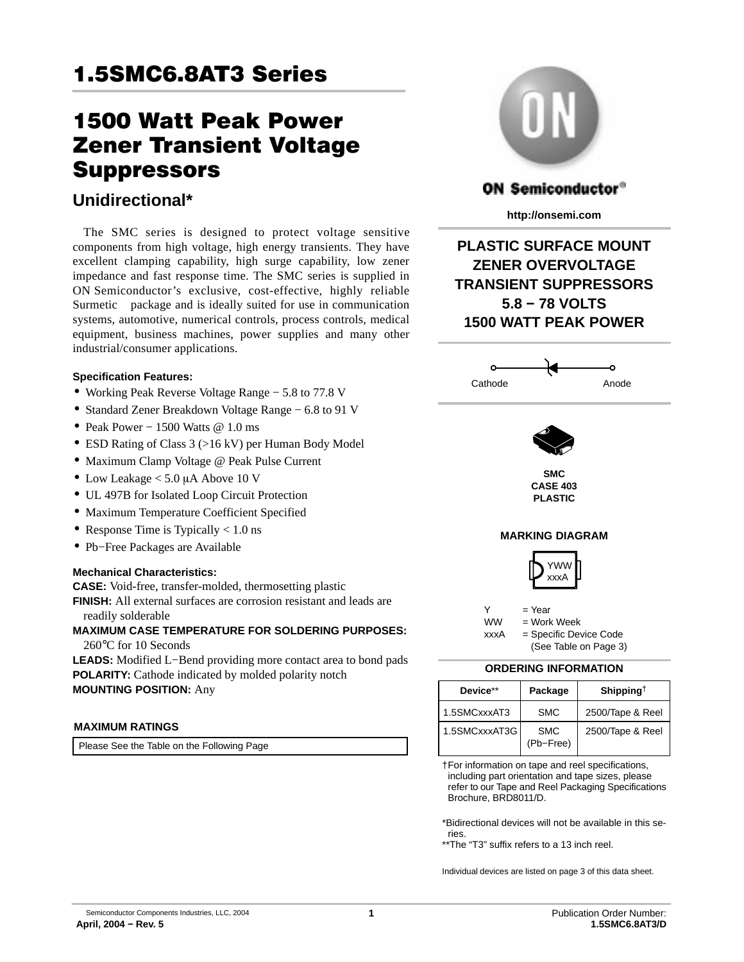# **1.5SMC6.8AT3 Series** <u>1.5SMC6.8AT3 Series</u>

# **1500 Watt Peak Power Zener Transient Voltage** Suppressors

### suppressors<br>Unidiaectional\* **Unidirectional\***

The SMC series is designed to protect voltage sensitive components from high voltage, high energy transients. They have excellent clamping capability, high surge capability, low zener impedance and fast response time. The SMC series is supplied in ON Semiconductor's exclusive, cost-effective, highly reliable Surmetic<sup> $\mathsf{m}$ </sup> package and is ideally suited for use in communication systems, automotive, numerical controls, process controls, medical equipment, business machines, power supplies and many other industrial/consumer applications.

#### **Specification Features:**

- Working Peak Reverse Voltage Range − 5.8 to 77.8 V
- Standard Zener Breakdown Voltage Range − 6.8 to 91 V
- Peak Power − 1500 Watts @ 1.0 ms
- ESD Rating of Class 3 (>16 kV) per Human Body Model
- Maximum Clamp Voltage @ Peak Pulse Current
- Low Leakage  $< 5.0 \mu A$  Above 10 V
- UL 497B for Isolated Loop Circuit Protection
- Maximum Temperature Coefficient Specified
- Response Time is Typically  $< 1.0$  ns
- Pb−Free Packages are Available

#### **Mechanical Characteristics:**

**CASE:** Void-free, transfer-molded, thermosetting plastic

**FINISH:** All external surfaces are corrosion resistant and leads are readily solderable

### **MAXIMUM CASE TEMPERATURE FOR SOLDERING PURPOSES:**

260°C for 10 Seconds

**LEADS:** Modified L−Bend providing more contact area to bond pads **POLARITY:** Cathode indicated by molded polarity notch **MOUNTING POSITION:** Any

#### **MAXIMUM RATINGS**

Please See the Table on the Following Page



### **ON Semiconductor®**

**http://onsemi.com**

**PLASTIC SURFACE MOUNT ZENER OVERVOLTAGE TRANSIENT SUPPRESSORS 5.8 − 78 VOLTS 1500 WATT PEAK POWER**



#### **ORDERING INFORMATION**

| Device**      | Package                 | Shipping <sup><math>\dagger</math></sup> |  |  |
|---------------|-------------------------|------------------------------------------|--|--|
| 1.5SMCxxxAT3  | <b>SMC</b>              | 2500/Tape & Reel                         |  |  |
| 1.5SMCxxxAT3G | <b>SMC</b><br>(Pb-Free) | 2500/Tape & Reel                         |  |  |

†For information on tape and reel specifications, including part orientation and tape sizes, please refer to our Tape and Reel Packaging Specifications Brochure, BRD8011/D.

\*Bidirectional devices will not be available in this series.

\*\*The "T3" suffix refers to a 13 inch reel.

Individual devices are listed on page [3](#page-2-0) of this data sheet.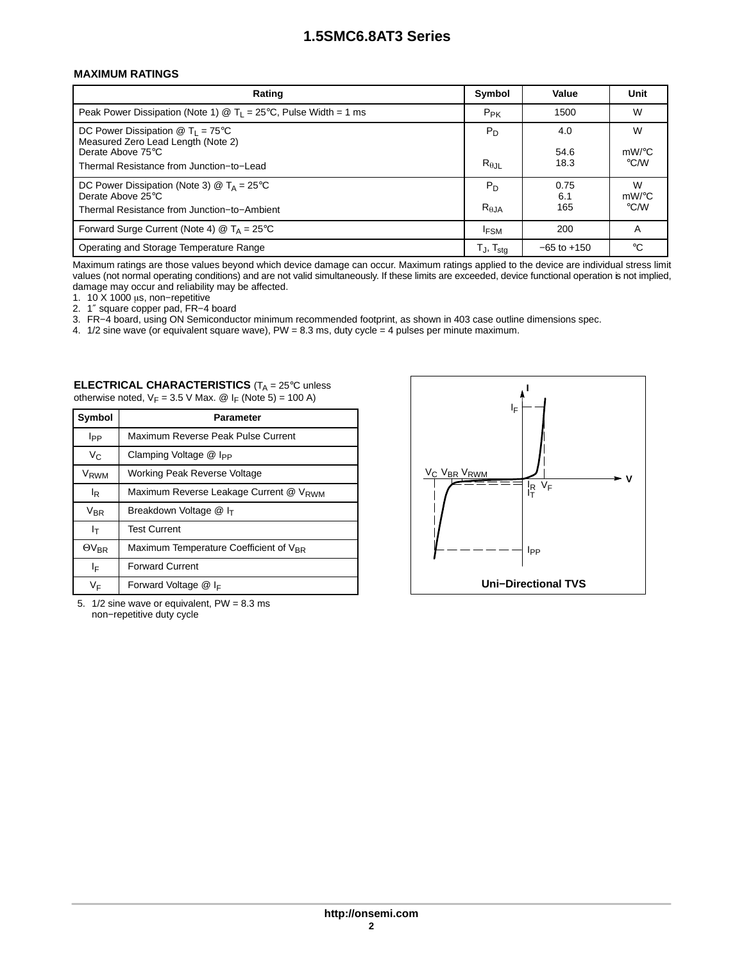#### **MAXIMUM RATINGS**

| Rating                                                                                                                                                                           | Symbol                    | Value               | Unit                                |
|----------------------------------------------------------------------------------------------------------------------------------------------------------------------------------|---------------------------|---------------------|-------------------------------------|
| Peak Power Dissipation (Note 1) $\circledR$ T <sub>1</sub> = 25°C, Pulse Width = 1 ms                                                                                            | $P_{PK}$                  | 1500                | W                                   |
| DC Power Dissipation $\textcircled{2}$ T <sub>1</sub> = 75 <sup>°</sup> C<br>Measured Zero Lead Length (Note 2)<br>Derate Above 75°C<br>Thermal Resistance from Junction-to-Lead | $P_D$<br>$R_{\theta, JL}$ | 4.0<br>54.6<br>18.3 | W<br>$mW$ /°C<br>$\rm ^{\circ}$ C/W |
| DC Power Dissipation (Note 3) $\circledR$ T <sub>A</sub> = 25 <sup>°</sup> C<br>Derate Above 25°C<br>Thermal Resistance from Junction-to-Ambient                                 | $P_D$<br>$R_{\theta,JA}$  | 0.75<br>6.1<br>165  | W<br>$mW$ /°C<br>$\rm ^{\circ}$ C/W |
| Forward Surge Current (Note 4) $@$ T <sub>A</sub> = 25 <sup>°</sup> C                                                                                                            | <b>IFSM</b>               | 200                 | A                                   |
| Operating and Storage Temperature Range                                                                                                                                          | T」,T <sub>sta</sub>       | $-65$ to $+150$     | °C                                  |

Maximum ratings are those values beyond which device damage can occur. Maximum ratings applied to the device are individual stress limit values (not normal operating conditions) and are not valid simultaneously. If these limits are exceeded, device functional operation is not implied, damage may occur and reliability may be affected.

1. 10 X 1000 μs, non−repetitive

2. 1″ square copper pad, FR−4 board

3. FR−4 board, using ON Semiconductor minimum recommended footprint, as shown in 403 case outline dimensions spec.

4. 1/2 sine wave (or equivalent square wave), PW = 8.3 ms, duty cycle = 4 pulses per minute maximum.

| <b>ELECTRICAL CHARACTERISTICS</b> ( $T_A = 25^\circ$ C unless          |
|------------------------------------------------------------------------|
| otherwise noted, $V_F = 3.5$ V Max. @ I <sub>F</sub> (Note 5) = 100 A) |

| Symbol                                                                                    | Parameter                          |  |  |  |  |  |
|-------------------------------------------------------------------------------------------|------------------------------------|--|--|--|--|--|
| Ipp                                                                                       | Maximum Reverse Peak Pulse Current |  |  |  |  |  |
| V <sub>C</sub>                                                                            | Clamping Voltage @ I <sub>PP</sub> |  |  |  |  |  |
| V <sub>RWM</sub>                                                                          | Working Peak Reverse Voltage       |  |  |  |  |  |
| Maximum Reverse Leakage Current @ V <sub>RWM</sub><br>l <sub>R</sub>                      |                                    |  |  |  |  |  |
| $V_{BR}$<br>Breakdown Voltage @ I <sub>T</sub>                                            |                                    |  |  |  |  |  |
| <b>Test Current</b><br>Iт                                                                 |                                    |  |  |  |  |  |
| Maximum Temperature Coefficient of V <sub>BR</sub><br>$\Theta$ <sup>V</sup> <sub>BR</sub> |                                    |  |  |  |  |  |
| ΙF                                                                                        | <b>Forward Current</b>             |  |  |  |  |  |
| ۷F                                                                                        | Forward Voltage $@$ I <sub>F</sub> |  |  |  |  |  |

<sup>5.</sup>  $1/2$  sine wave or equivalent,  $PW = 8.3$  ms non−repetitive duty cycle

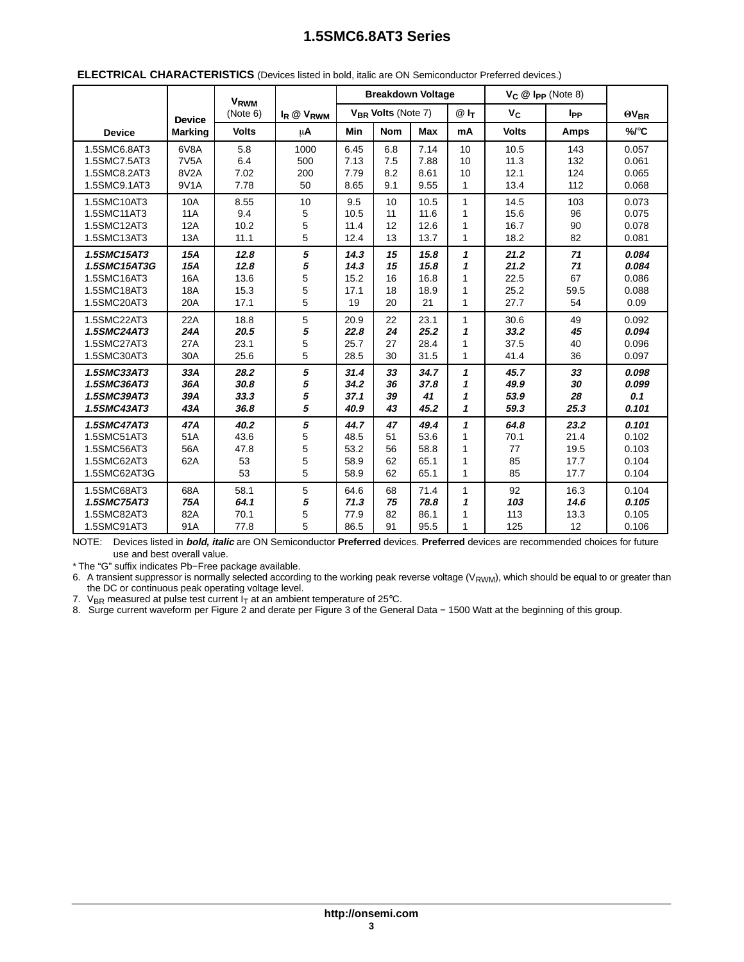|                            |                   | V <sub>RWM</sub> |                       | <b>Breakdown Voltage</b> |            |              |                   | $V_C \n\circledR$ Ipp (Note 8) |                          |                |
|----------------------------|-------------------|------------------|-----------------------|--------------------------|------------|--------------|-------------------|--------------------------------|--------------------------|----------------|
|                            | <b>Device</b>     | (Note 6)         | $I_R \otimes V_{RWM}$ | $V_{BR}$ Volts (Note 7)  |            | @ ኩ          | $V_C$             | lpp                            | $\Theta$ V <sub>BR</sub> |                |
| <b>Device</b>              | <b>Marking</b>    | <b>Volts</b>     | $\mu$ A               | Min                      | <b>Nom</b> | Max          | mA                | <b>Volts</b>                   | <b>Amps</b>              | %/°C           |
| 1.5SMC6.8AT3               | 6V8A              | 5.8              | 1000                  | 6.45                     | 6.8        | 7.14         | 10                | 10.5                           | 143                      | 0.057          |
| 1.5SMC7.5AT3               | 7V <sub>5</sub> A | 6.4              | 500                   | 7.13                     | 7.5        | 7.88         | 10                | 11.3                           | 132                      | 0.061          |
| 1.5SMC8.2AT3               | 8V <sub>2</sub> A | 7.02             | 200                   | 7.79                     | 8.2        | 8.61         | 10                | 12.1                           | 124                      | 0.065          |
| 1.5SMC9.1AT3               | 9V1A              | 7.78             | 50                    | 8.65                     | 9.1        | 9.55         | 1                 | 13.4                           | 112                      | 0.068          |
| 1.5SMC10AT3                | 10A               | 8.55             | 10                    | 9.5                      | 10         | 10.5         | $\mathbf{1}$      | 14.5                           | 103                      | 0.073          |
| 1.5SMC11AT3                | <b>11A</b>        | 9.4              | 5                     | 10.5                     | 11         | 11.6         | 1                 | 15.6                           | 96                       | 0.075          |
| 1.5SMC12AT3                | 12A               | 10.2             | 5                     | 11.4                     | 12         | 12.6         | 1                 | 16.7                           | 90                       | 0.078          |
| 1.5SMC13AT3                | 13A               | 11.1             | 5                     | 12.4                     | 13         | 13.7         | $\mathbf{1}$      | 18.2                           | 82                       | 0.081          |
| 1.5SMC15AT3                | 15A               | 12.8             | 5                     | 14.3                     | 15         | 15.8         | $\mathbf{1}$      | 21.2                           | 71                       | 0.084          |
| 1.5SMC15AT3G               | 15A               | 12.8             | 5                     | 14.3                     | 15         | 15.8         | 1                 | 21.2                           | 71                       | 0.084          |
| 1.5SMC16AT3                | 16A               | 13.6             | 5                     | 15.2                     | 16         | 16.8         | 1                 | 22.5                           | 67                       | 0.086          |
| 1.5SMC18AT3                | <b>18A</b>        | 15.3             | 5                     | 17.1                     | 18         | 18.9         | 1                 | 25.2                           | 59.5                     | 0.088          |
| 1.5SMC20AT3                | 20A               | 17.1             | 5                     | 19                       | 20         | 21           | $\mathbf{1}$      | 27.7                           | 54                       | 0.09           |
| 1.5SMC22AT3                | 22A               | 18.8             | 5                     | 20.9                     | 22         | 23.1         | $\mathbf{1}$      | 30.6                           | 49                       | 0.092          |
| 1.5SMC24AT3                | 24A               | 20.5             | 5                     | 22.8                     | 24         | 25.2         | 1                 | 33.2                           | 45                       | 0.094          |
| 1.5SMC27AT3                | 27A               | 23.1             | 5                     | 25.7                     | 27         | 28.4         | 1                 | 37.5                           | 40                       | 0.096          |
| 1.5SMC30AT3                | 30A               | 25.6             | 5                     | 28.5                     | 30         | 31.5         | $\mathbf{1}$      | 41.4                           | 36                       | 0.097          |
| 1.5SMC33AT3                | 33A               | 28.2             | 5                     | 31.4                     | 33         | 34.7         | $\mathbf{1}$      | 45.7                           | 33                       | 0.098          |
| 1.5SMC36AT3                | 36A               | 30.8             | 5                     | 34.2                     | 36         | 37.8         | $\mathbf{1}$      | 49.9                           | 30                       | 0.099          |
| 1.5SMC39AT3<br>1.5SMC43AT3 | 39A<br>43A        | 33.3<br>36.8     | 5<br>5                | 37.1<br>40.9             | 39<br>43   | 41<br>45.2   | 1<br>$\mathbf{1}$ | 53.9<br>59.3                   | 28<br>25.3               | 0.1<br>0.101   |
|                            |                   |                  |                       |                          |            |              |                   |                                |                          |                |
| 1.5SMC47AT3                | 47A               | 40.2             | 5                     | 44.7<br>48.5             | 47         | 49.4<br>53.6 | 1                 | 64.8                           | 23.2                     | 0.101          |
| 1.5SMC51AT3<br>1.5SMC56AT3 | 51A               | 43.6             | 5<br>5                | 53.2                     | 51         | 58.8         | 1<br>1            | 70.1<br>77                     | 21.4                     | 0.102          |
| 1.5SMC62AT3                | 56A<br>62A        | 47.8<br>53       | 5                     | 58.9                     | 56<br>62   | 65.1         | 1                 | 85                             | 19.5<br>17.7             | 0.103<br>0.104 |
| 1.5SMC62AT3G               |                   | 53               | 5                     | 58.9                     | 62         | 65.1         | $\mathbf{1}$      | 85                             | 17.7                     | 0.104          |
|                            |                   |                  |                       |                          |            |              |                   |                                |                          |                |
| 1.5SMC68AT3                | 68A               | 58.1             | 5                     | 64.6                     | 68         | 71.4         | $\mathbf{1}$      | 92                             | 16.3                     | 0.104          |
| 1.5SMC75AT3                | 75A               | 64.1             | 5                     | 71.3                     | 75         | 78.8         | 1                 | 103                            | 14.6                     | 0.105          |
| 1.5SMC82AT3                | 82A               | 70.1             | 5                     | 77.9                     | 82         | 86.1         | 1                 | 113                            | 13.3                     | 0.105          |
| 1.5SMC91AT3                | 91A               | 77.8             | 5                     | 86.5                     | 91         | 95.5         | 1                 | 125                            | 12                       | 0.106          |

#### <span id="page-2-0"></span>**ELECTRICAL CHARACTERISTICS** (Devices listed in bold, italic are ON Semiconductor Preferred devices.)

NOTE: Devices listed in **bold, italic** are ON Semiconductor **Preferred** devices. **Preferred** devices are recommended choices for future use and best overall value.

\* The "G" suffix indicates Pb−Free package available.

6. A transient suppressor is normally selected according to the working peak reverse voltage ( $V_{\text{RWM}}$ ), which should be equal to or greater than the DC or continuous peak operating voltage level.

7.  $\rm\,V_{BR}$  measured at pulse test current  $I_T$  at an ambient temperature of 25°C.

8. Surge current waveform per Figure 2 and derate per Figure 3 of the General Data − 1500 Watt at the beginning of this group.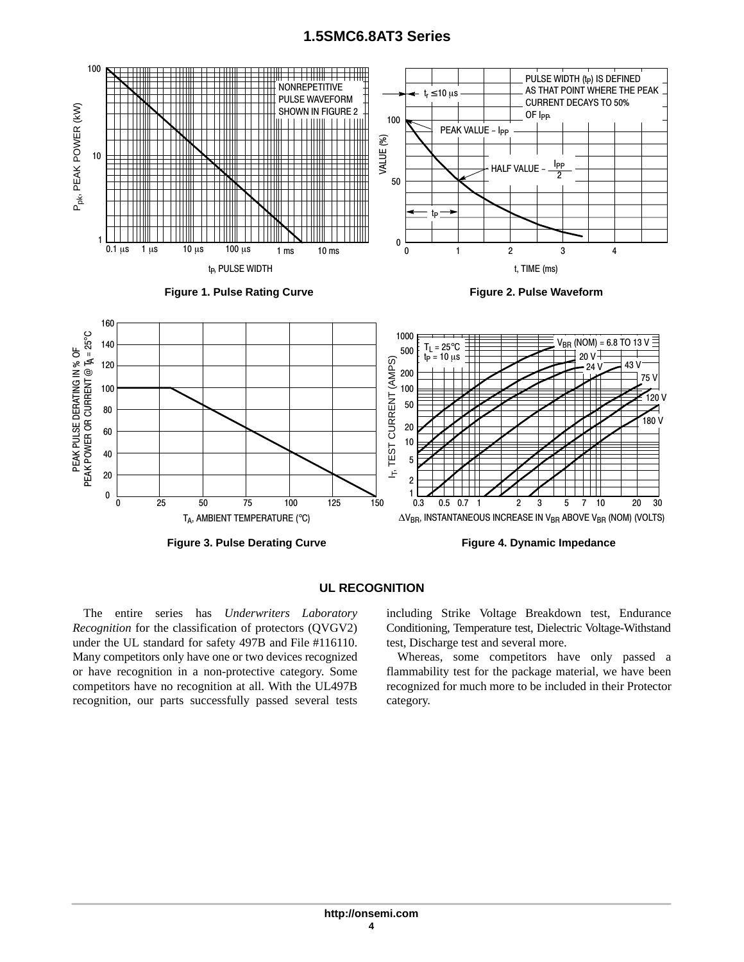<span id="page-3-0"></span>

#### **UL RECOGNITION**

The entire series has *Underwriters Laboratory Recognition* for the classification of protectors (QVGV2) under the UL standard for safety 497B and File #116110. Many competitors only have one or two devices recognized or have recognition in a non-protective category. Some competitors have no recognition at all. With the UL497B recognition, our parts successfully passed several tests including Strike Voltage Breakdown test, Endurance Conditioning, Temperature test, Dielectric Voltage-Withstand test, Discharge test and several more.

Whereas, some competitors have only passed a flammability test for the package material, we have been recognized for much more to be included in their Protector category.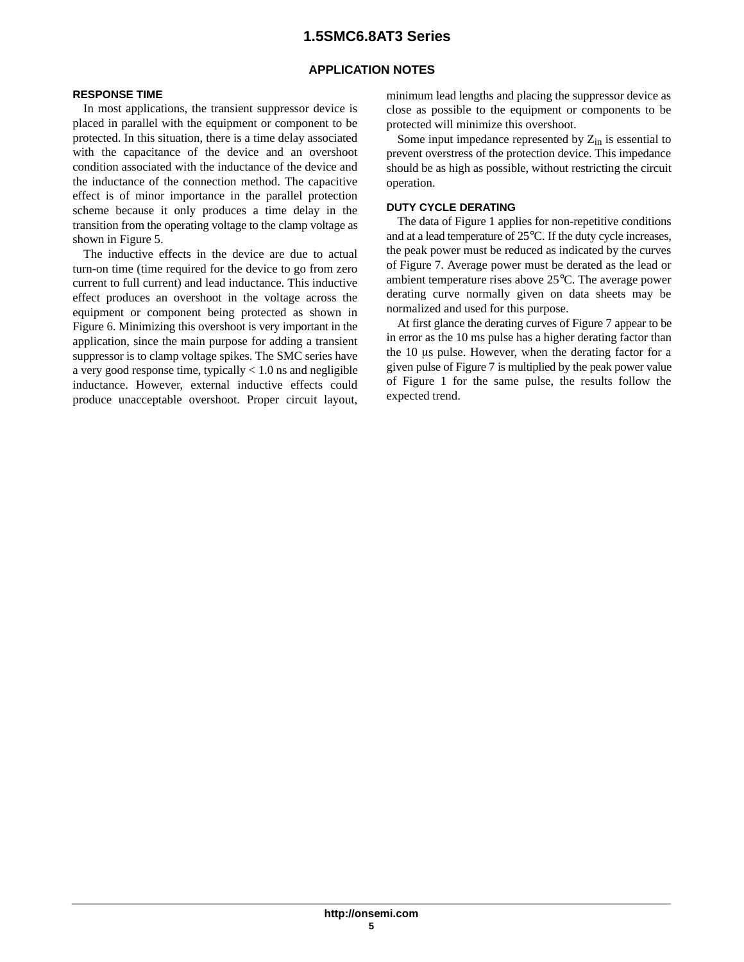### **APPLICATION NOTES**

#### **RESPONSE TIME**

In most applications, the transient suppressor device is placed in parallel with the equipment or component to be protected. In this situation, there is a time delay associated with the capacitance of the device and an overshoot condition associated with the inductance of the device and the inductance of the connection method. The capacitive effect is of minor importance in the parallel protection scheme because it only produces a time delay in the transition from the operating voltage to the clamp voltage as shown in Figure [5](#page-5-0).

The inductive effects in the device are due to actual turn-on time (time required for the device to go from zero current to full current) and lead inductance. This inductive effect produces an overshoot in the voltage across the equipment or component being protected as shown in Figure [6.](#page-5-0) Minimizing this overshoot is very important in the application, since the main purpose for adding a transient suppressor is to clamp voltage spikes. The SMC series have a very good response time, typically  $< 1.0$  ns and negligible inductance. However, external inductive effects could produce unacceptable overshoot. Proper circuit layout,

minimum lead lengths and placing the suppressor device as close as possible to the equipment or components to be protected will minimize this overshoot.

Some input impedance represented by  $Z_{in}$  is essential to prevent overstress of the protection device. This impedance should be as high as possible, without restricting the circuit operation.

### **DUTY CYCLE DERATING**

The data of Figure [1](#page-3-0) applies for non-repetitive conditions and at a lead temperature of 25°C. If the duty cycle increases, the peak power must be reduced as indicated by the curves of Figure [7.](#page-5-0) Average power must be derated as the lead or ambient temperature rises above 25°C. The average power derating curve normally given on data sheets may be normalized and used for this purpose.

At first glance the derating curves of Figure [7](#page-5-0) appear to be in error as the 10 ms pulse has a higher derating factor than the  $10 \mu s$  pulse. However, when the derating factor for a given pulse of Figure [7](#page-5-0) is multiplied by the peak power value of Figure [1](#page-3-0) for the same pulse, the results follow the expected trend.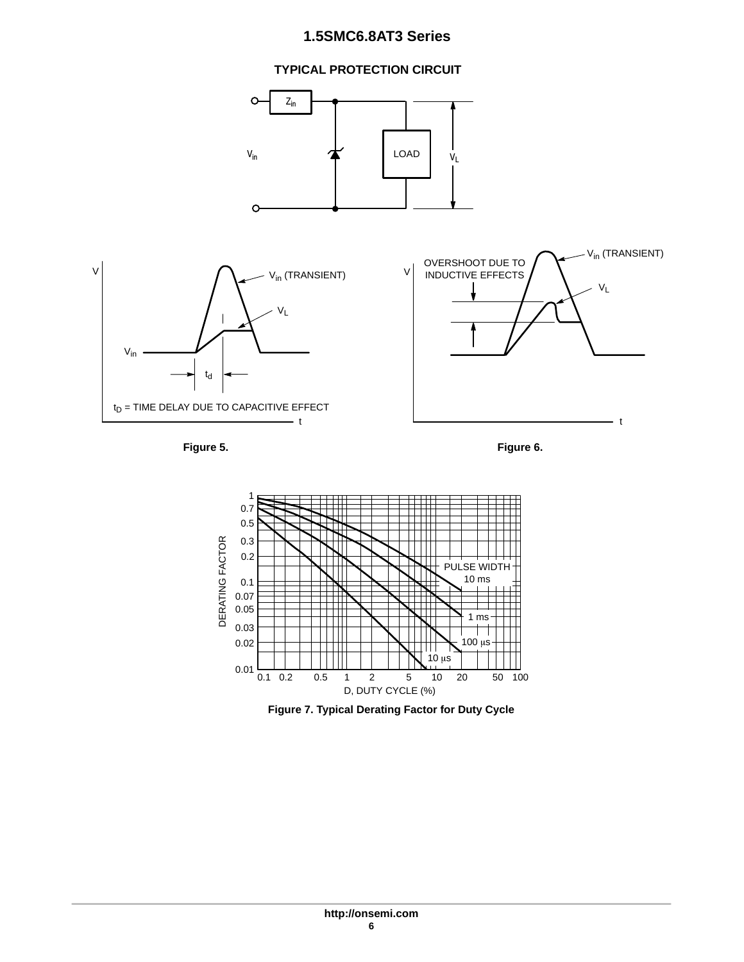### **TYPICAL PROTECTION CIRCUIT**

<span id="page-5-0"></span>

**Figure 5. Figure 6.**